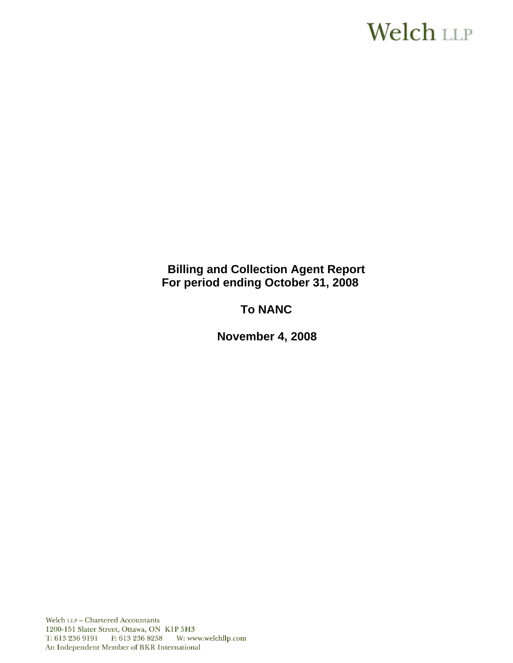# **Welch LLP**

## **Billing and Collection Agent Report For period ending October 31, 2008**

## **To NANC**

 **November 4, 2008**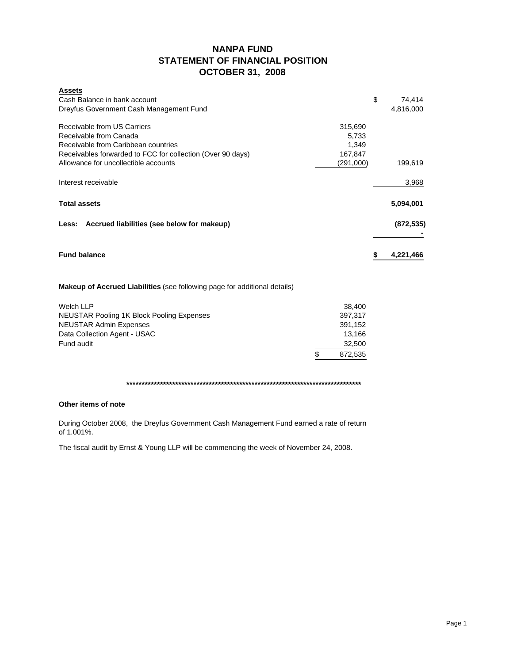## **NANPA FUND STATEMENT OF FINANCIAL POSITION OCTOBER 31, 2008**

| <b>Assets</b><br>Cash Balance in bank account<br>Dreyfus Government Cash Management Fund                                                                                                                                                                | \$<br>74,414<br>4,816,000 |
|---------------------------------------------------------------------------------------------------------------------------------------------------------------------------------------------------------------------------------------------------------|---------------------------|
| Receivable from US Carriers<br>315,690<br>Receivable from Canada<br>5,733<br>Receivable from Caribbean countries<br>1,349<br>Receivables forwarded to FCC for collection (Over 90 days)<br>167,847<br>Allowance for uncollectible accounts<br>(291,000) | 199,619                   |
| Interest receivable                                                                                                                                                                                                                                     | 3,968                     |
| <b>Total assets</b>                                                                                                                                                                                                                                     | 5,094,001                 |
| Accrued liabilities (see below for makeup)<br>Less:                                                                                                                                                                                                     | (872, 535)                |
| <b>Fund balance</b>                                                                                                                                                                                                                                     | \$<br>4,221,466           |
| <b>Makeup of Accrued Liabilities</b> (see following page for additional details)                                                                                                                                                                        |                           |
| <b>Welch LLP</b><br>38,400<br><b>NEUSTAR Pooling 1K Block Pooling Expenses</b><br>397,317<br><b>NEUSTAR Admin Expenses</b><br>391,152                                                                                                                   |                           |

Data Collection Agent - USAC 13,166 Fund audit 32,500  $$ 872,535$ 

**\*\*\*\*\*\*\*\*\*\*\*\*\*\*\*\*\*\*\*\*\*\*\*\*\*\*\*\*\*\*\*\*\*\*\*\*\*\*\*\*\*\*\*\*\*\*\*\*\*\*\*\*\*\*\*\*\*\*\*\*\*\*\*\*\*\*\*\*\*\*\*\*\*\*\*\*\***

## **Other items of note**

During October 2008, the Dreyfus Government Cash Management Fund earned a rate of return of 1.001%.

The fiscal audit by Ernst & Young LLP will be commencing the week of November 24, 2008.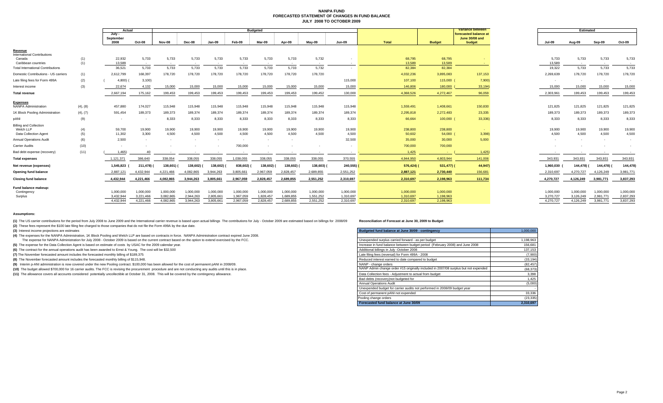#### **NANPA FUND FORECASTED STATEMENT OF CHANGES IN FUND BALANCEJULY 2008 TO OCTOBER 2009**

|                                          |          | Actual              |           | <b>Budgeted</b> |           |           |           |           |           |           |                          | Variance between | <b>Estimated</b> |                                         |               |           |                          |           |
|------------------------------------------|----------|---------------------|-----------|-----------------|-----------|-----------|-----------|-----------|-----------|-----------|--------------------------|------------------|------------------|-----------------------------------------|---------------|-----------|--------------------------|-----------|
|                                          |          | July -<br>September |           |                 |           |           |           |           |           |           |                          |                  |                  | forecasted balance at<br>June 30/08 and |               |           |                          |           |
|                                          |          | 2008                | Oct-08    | Nov-08          | Dec-08    | Jan-09    | Feb-09    | Mar-09    | Apr-09    | May-09    | <b>Jun-09</b>            | Total            | <b>Budget</b>    | budget                                  | <b>Jul-09</b> | Aug-09    | Sep-09                   | Oct-09    |
| Revenue                                  |          |                     |           |                 |           |           |           |           |           |           |                          |                  |                  |                                         |               |           |                          |           |
| <b>International Contributions</b>       |          |                     |           |                 |           |           |           |           |           |           |                          |                  |                  |                                         |               |           |                          |           |
| Canada                                   | (1)      | 22,932              | 5,733     | 5,733           | 5,733     | 5,733     | 5,733     | 5,733     | 5,733     | 5,732     |                          | 68,795           | 68,795           |                                         | 5,733         | 5,733     | 5,733                    | 5,733     |
| Caribbean countries                      | (1)      | 13,589              | $\sim$    | $\sim$          |           | $\sim$    |           | $\sim$    | $\sim$    | $\sim$    |                          | 13,589           | 13,589           |                                         | 13,589        |           | $\sim$                   |           |
| <b>Total International Contributions</b> |          | 36,521              | 5,733     | 5,733           | 5,733     | 5,733     | 5.733     | 5,733     | 5.733     | 5,732     | $\overline{\phantom{a}}$ | 82,384           | 82,384           |                                         | 19,322        | 5.733     | 5,733                    | 5,733     |
| Domestic Contributions - US carriers     | (1)      | 2,612,799           | 168,397   | 178,720         | 178,720   | 178,720   | 178,720   | 178,720   | 178,720   | 178,720   |                          | 4,032,236        | 3,895,083        | 137,153                                 | 2,269,639     | 178,720   | 178,720                  | 178,720   |
| Late filing fees for Form 499A           | (2)      | 4,800)              | 3,100     |                 |           |           |           |           |           |           | 115,000                  | 107,100          | 115,000          | 7,900)                                  |               |           |                          |           |
| Interest income                          | (3)      | 22,674              | 4,132     | 15,000          | 15,000    | 15,000    | 15,000    | 15,000    | 15,000    | 15,000    | 15,000                   | 146,806          | 180,000          | 33,194)                                 | 15,000        | 15,000    | 15,000                   | 15,000    |
| <b>Total revenue</b>                     |          | 2,667,194           | 175,162   | 199,453         | 199,453   | 199,453   | 199,453   | 199,453   | 199,453   | 199,452   | 130,000                  | 4,368,526        | 4,272,467        | 96,059                                  | 2,303,961     | 199,453   | 199,453                  | 199,453   |
| <b>Expenses</b>                          |          |                     |           |                 |           |           |           |           |           |           |                          |                  |                  |                                         |               |           |                          |           |
| <b>NANPA Administration</b>              | (4), (8) | 457,880             | 174,027   | 115,948         | 115,948   | 115,948   | 115,948   | 115,948   | 115,948   | 115,948   | 115,948                  | 1,559,491        | 1,408,661        | 150,830                                 | 121,825       | 121,825   | 121,825                  | 121,825   |
| 1K Block Pooling Administration          | (4), (7) | 591,454             | 189,373   | 189,373         | 189,374   | 189,374   | 189,374   | 189,374   | 189.374   | 189,374   | 189,374                  | 2,295,818        | 2,272,483        | 23,335                                  | 189,373       | 189,373   | 189,373                  | 189,373   |
| DANI                                     | (9)      |                     |           | 8,333           | 8.333     | 8,333     | 8.333     | 8,333     | 8.333     | 8,333     | 8,333                    | 66,664           | 100,000 (        | 33,336)                                 | 8.333         | 8.333     | 8,333                    | 8,333     |
| <b>Billing and Collection</b>            |          |                     |           |                 |           |           |           |           |           |           |                          |                  |                  |                                         |               |           |                          |           |
| Welch LLP                                | (4)      | 59,700              | 19,900    | 19,900          | 19,900    | 19,900    | 19,900    | 19,900    | 19,900    | 19,900    | 19,900                   | 238,800          | 238,800          | <b>Contract</b>                         | 19,900        | 19,900    | 19,900                   | 19,900    |
| Data Collection Agent                    | (5)      | 11,302              | 3,300     | 4,500           | 4,500     | 4,500     | 4,500     | 4,500     | 4,500     | 4,500     | 4,500                    | 50,602           | 54,000           | 3,398                                   | 4,500         | 4,500     | 4,500                    | 4,500     |
| <b>Annual Operations Audit</b>           | (6)      | 2.500               |           |                 |           | $\sim$    | $\sim$    | $\sim$    | $\sim$    |           | 32,500                   | 35,000           | 30,000           | 5.000                                   |               |           | $\overline{\phantom{a}}$ |           |
| Carrier Audits                           | (10)     |                     |           |                 |           |           | 700,000   |           |           |           |                          | 700,000          | 700,000          |                                         |               |           |                          |           |
| Bad debt expense (recovery)              | (11)     | 1.465               | 40        |                 |           |           | $\sim$    |           |           | $\sim$    | $\sim$                   | 1,425            | <b>Card</b>      | 1,425                                   |               |           | $\sim$                   |           |
| <b>Total expenses</b>                    |          | 1,121,37'           | 386.640   | 338,054         | 338,055   | 338,055   | 1,038,055 | 338,055   | 338,055   | 338,055   | 370,555                  | 4,944,950        | 4,803,944        | 141,006                                 | 343,931       | 343,931   | 343,931                  | 343,931   |
| Net revenue (expenses)                   |          | 1,545,823           | 211.478)  | 138,601)        | 138,602)  | 138,602)  | 838,602)  | 138,602)  | 138,602)  | 138,603)  | 240,555)                 | 576,424) (       | $531,477$ ) (    | 44,947)                                 | 1,960,030     | 144.478)  | 144,478)                 | 144,478)  |
| Opening fund balance                     |          | 2,887,121           | 4,432,944 | 4,221,466       | 4,082,865 | 3,944,263 | 3,805,661 | 2,967,059 | 2,828,457 | 2,689,855 | 2,551,252                | 2,887,121        | 2,730,440        | 156,681                                 | 2,310,697     | 4,270,727 | 4,126,249                | 3,981,771 |
| <b>Closing fund balance</b>              |          | 4,432,944           | 4.221.466 | 4.082.865       | 3.944.263 | 3,805,661 | 2,967,059 | 2,828,457 | 2,689,855 | 2,551,252 | 2,310,697                | 2.310.697        | 2,198,963        | 111,734                                 | 4,270,727     | 4,126,249 | 3,981,771                | 3,837,293 |
| Fund balance makeup:                     |          |                     |           |                 |           |           |           |           |           |           |                          |                  |                  |                                         |               |           |                          |           |
| Contingency                              |          | 1.000.000           | 1.000.000 | 1,000,000       | 1.000.000 | 1,000,000 | 1,000,000 | 1,000,000 | 1.000.000 | 1,000,000 | 1,000,000                | 1,000,000        | 1,000,000        |                                         | 1,000,000     | 1.000.000 | 1,000,000                | 1,000,000 |
| Surplus                                  |          | 3,432,944           | 3,221,466 | 3,082,865       | 2,944,263 | 2,805,661 | 1,967,059 | 1,828,457 | 1,689,855 | 1,551,252 | 1,310,697                | 1,310,697        | 1,198,963        |                                         | 3,270,727     | 3,126,249 | 2,981,771                | 2,837,293 |
|                                          |          | 4.432.944           | 4.221.466 | 4.082.865       | 3.944.263 | 3,805,661 | 2.967.059 | 2.828.457 | 2.689.855 | 2.551.252 | 2.310.697                | 2.310.697        | 2.198.963        |                                         | 4.270.727     | 4.126.249 | 3.981.771                | 3.837.293 |

#### **Assumptions:**

(1) The US carrier contributions for the period from July 2008 to June 2009 and the International carrier revenue is based upon actual billings The contributions for July - October 2009 are estimated based on billings for

**(2)** These fees represent the \$100 late filing fee charged to those companies that do not file the Form 499A by the due date.

**(3)** Interest income projections are estimates

**(4)** The expenses for the NANPA Administration, 1K Block Pooling and Welch LLP are based on contracts in force. NANPA Administration contract expired June 2008.

The expense for NANPA Administration for July 2008 - October 2009 is based on the current contract based on the option to extend exercised by the FCC.

**(5)** The expense for the Data Collection Agent is based on estimate of costs by USAC for the 2009 calendar year.

**(6)** The contract for the annual operations audit has been awarded to Ernst & Young. The cost will be \$32,500

(7) The November forecasted amount includes the forecasted monthly billing of \$189,375

**(8)** The November forecasted amount includes the forecasted monthly billing of \$115,948.

(9) Interim p-ANI administration is now covered under the new Pooling contract. \$100,000 has been allowed for the cost of permanent pANI in 2008/09.

(10) The budget allowed \$700,000 for 16 carrier audits. The FCC is revising the procurement procedure and are not conducting any audits until this is in place.

(11) The allowance covers all accounts considered potentially uncollectible at October 31, 2008. This will be covered by the contingency allowance.

| Budgeted fund balance at June 30/09 - contingency                                   | 1.000.000 |
|-------------------------------------------------------------------------------------|-----------|
|                                                                                     |           |
| Unexpended surplus carried forward - as per budget                                  | 1,198,963 |
| Increase in fund balance between budget period (February 2008) and June 2008        | 156.681   |
| Additional billings in July -October 2008                                           | 137,153   |
| Late filing fees (reversal) for Form 499A - 2008                                    | (7,900)   |
| Reduced interest earned to date compared to budget                                  | (33, 194) |
| NANP - change orders                                                                | (82, 457) |
| NANP Admin change order #15 originally included in 2007/08 surplus but not expended | (68, 373) |
| Data Collection fees - Adjustment to actual from budget                             | 3,398     |
| Bad debts (recovery) not budgeted for                                               | 1,425     |
| Annual Operations Audit                                                             | (5,000)   |
| Unexpended budget for carrier audits not performed in 2008/09 budget year           |           |
| Cost of permanent pANI not expended                                                 | 33,336    |
| Pooling change orders                                                               | (23, 335) |
| Forecasted fund balance at June 30/09                                               | 2,310,697 |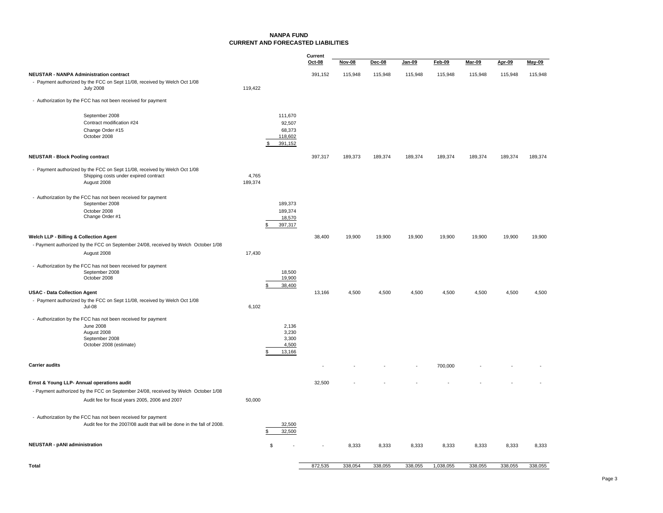### **NANPA FUNDCURRENT AND FORECASTED LIABILITIES**

|                                                                                    |                   | $Oct-08$ | <b>Nov-08</b> | Dec-08  | Jan-09  | <b>Feb-09</b> | <b>Mar-09</b> | Apr-09  | May-09  |
|------------------------------------------------------------------------------------|-------------------|----------|---------------|---------|---------|---------------|---------------|---------|---------|
| <b>NEUSTAR - NANPA Administration contract</b>                                     |                   | 391,152  | 115,948       | 115,948 | 115,948 | 115,948       | 115,948       | 115,948 | 115,948 |
| - Payment authorized by the FCC on Sept 11/08, received by Welch Oct 1/08          |                   |          |               |         |         |               |               |         |         |
| <b>July 2008</b>                                                                   | 119,422           |          |               |         |         |               |               |         |         |
| - Authorization by the FCC has not been received for payment                       |                   |          |               |         |         |               |               |         |         |
| September 2008                                                                     | 111,670           |          |               |         |         |               |               |         |         |
| Contract modification #24                                                          | 92,507            |          |               |         |         |               |               |         |         |
| Change Order #15<br>October 2008                                                   | 68,373<br>118,602 |          |               |         |         |               |               |         |         |
|                                                                                    | 391,152<br>\$.    |          |               |         |         |               |               |         |         |
| <b>NEUSTAR - Block Pooling contract</b>                                            |                   | 397,317  | 189,373       | 189,374 | 189,374 | 189,374       | 189,374       | 189,374 | 189,374 |
| - Payment authorized by the FCC on Sept 11/08, received by Welch Oct 1/08          |                   |          |               |         |         |               |               |         |         |
| Shipping costs under expired contract                                              | 4,765             |          |               |         |         |               |               |         |         |
| August 2008                                                                        | 189,374           |          |               |         |         |               |               |         |         |
| - Authorization by the FCC has not been received for payment                       |                   |          |               |         |         |               |               |         |         |
| September 2008                                                                     | 189,373           |          |               |         |         |               |               |         |         |
| October 2008<br>Change Order #1                                                    | 189,374           |          |               |         |         |               |               |         |         |
|                                                                                    | 18,570<br>397,317 |          |               |         |         |               |               |         |         |
|                                                                                    |                   |          |               |         |         |               |               |         |         |
| Welch LLP - Billing & Collection Agent                                             |                   | 38,400   | 19,900        | 19,900  | 19,900  | 19,900        | 19,900        | 19,900  | 19,900  |
| - Payment authorized by the FCC on September 24/08, received by Welch October 1/08 |                   |          |               |         |         |               |               |         |         |
| August 2008                                                                        | 17,430            |          |               |         |         |               |               |         |         |
| - Authorization by the FCC has not been received for payment                       |                   |          |               |         |         |               |               |         |         |
| September 2008<br>October 2008                                                     | 18,500<br>19,900  |          |               |         |         |               |               |         |         |
|                                                                                    | 38,400            |          |               |         |         |               |               |         |         |
| <b>USAC - Data Collection Agent</b>                                                |                   | 13,166   | 4,500         | 4,500   | 4,500   | 4,500         | 4,500         | 4,500   | 4,500   |
| - Payment authorized by the FCC on Sept 11/08, received by Welch Oct 1/08          |                   |          |               |         |         |               |               |         |         |
| Jul-08                                                                             | 6,102             |          |               |         |         |               |               |         |         |
| - Authorization by the FCC has not been received for payment                       |                   |          |               |         |         |               |               |         |         |
| <b>June 2008</b>                                                                   | 2,136             |          |               |         |         |               |               |         |         |
| August 2008<br>September 2008                                                      | 3,230<br>3,300    |          |               |         |         |               |               |         |         |
| October 2008 (estimate)                                                            | 4,500             |          |               |         |         |               |               |         |         |
|                                                                                    | 13,166            |          |               |         |         |               |               |         |         |
| <b>Carrier audits</b>                                                              |                   |          |               |         |         | 700,000       |               |         |         |
|                                                                                    |                   |          |               |         |         |               |               |         |         |
| Ernst & Young LLP- Annual operations audit                                         |                   | 32,500   |               |         |         |               |               |         |         |
| - Payment authorized by the FCC on September 24/08, received by Welch October 1/08 |                   |          |               |         |         |               |               |         |         |
| Audit fee for fiscal years 2005, 2006 and 2007                                     | 50,000            |          |               |         |         |               |               |         |         |
| - Authorization by the FCC has not been received for payment                       |                   |          |               |         |         |               |               |         |         |
| Audit fee for the 2007/08 audit that will be done in the fall of 2008.             | 32,500            |          |               |         |         |               |               |         |         |
|                                                                                    | 32,500            |          |               |         |         |               |               |         |         |
| <b>NEUSTAR - pANI administration</b>                                               | \$                |          | 8,333         | 8,333   | 8,333   | 8,333         | 8,333         | 8,333   | 8,333   |
|                                                                                    |                   |          |               |         |         |               |               |         |         |
| <b>Total</b>                                                                       |                   | 872.535  | 338,054       | 338,055 | 338,055 | 1,038,055     | 338,055       | 338,055 | 338,055 |